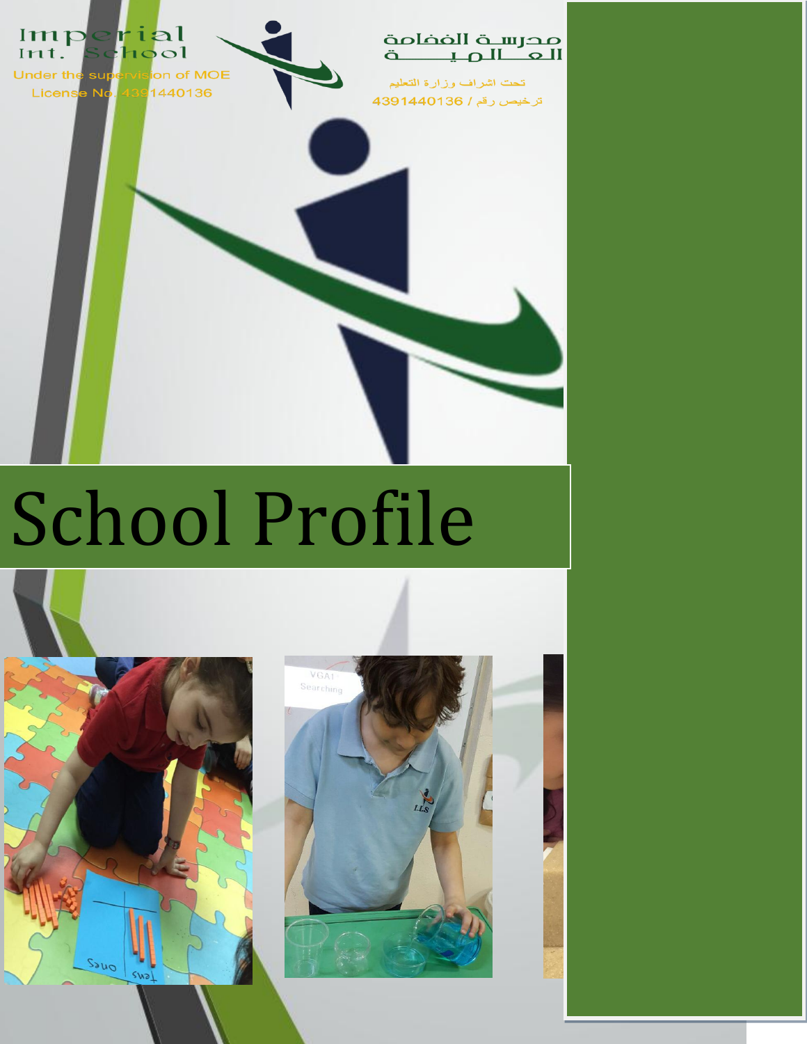

# School Profile



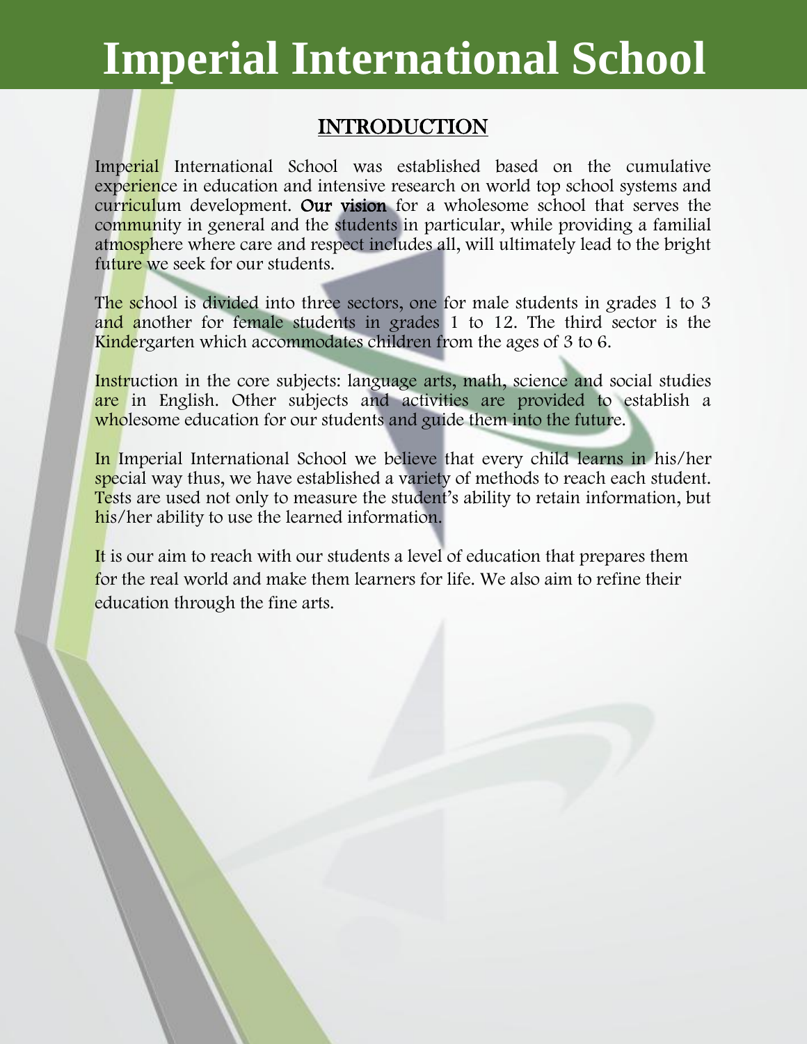### INTRODUCTION

Imperial International School was established based on the cumulative experience in education and intensive research on world top school systems and curriculum development. Our vision for a wholesome school that serves the community in general and the students in particular, while providing a familial atmosphere where care and respect includes all, will ultimately lead to the bright future we seek for our students.

The school is divided into three sectors, one for male students in grades 1 to 3 and another for female students in grades 1 to 12. The third sector is the Kindergarten which accommodates children from the ages of 3 to 6.

Instruction in the core subjects: language arts, math, science and social studies are in English. Other subjects and activities are provided to establish a wholesome education for our students and guide them into the future.

In Imperial International School we believe that every child learns in his/her special way thus, we have established a variety of methods to reach each student. Tests are used not only to measure the student's ability to retain information, but his/her ability to use the learned information.

It is our aim to reach with our students a level of education that prepares them for the real world and make them learners for life. We also aim to refine their education through the fine arts.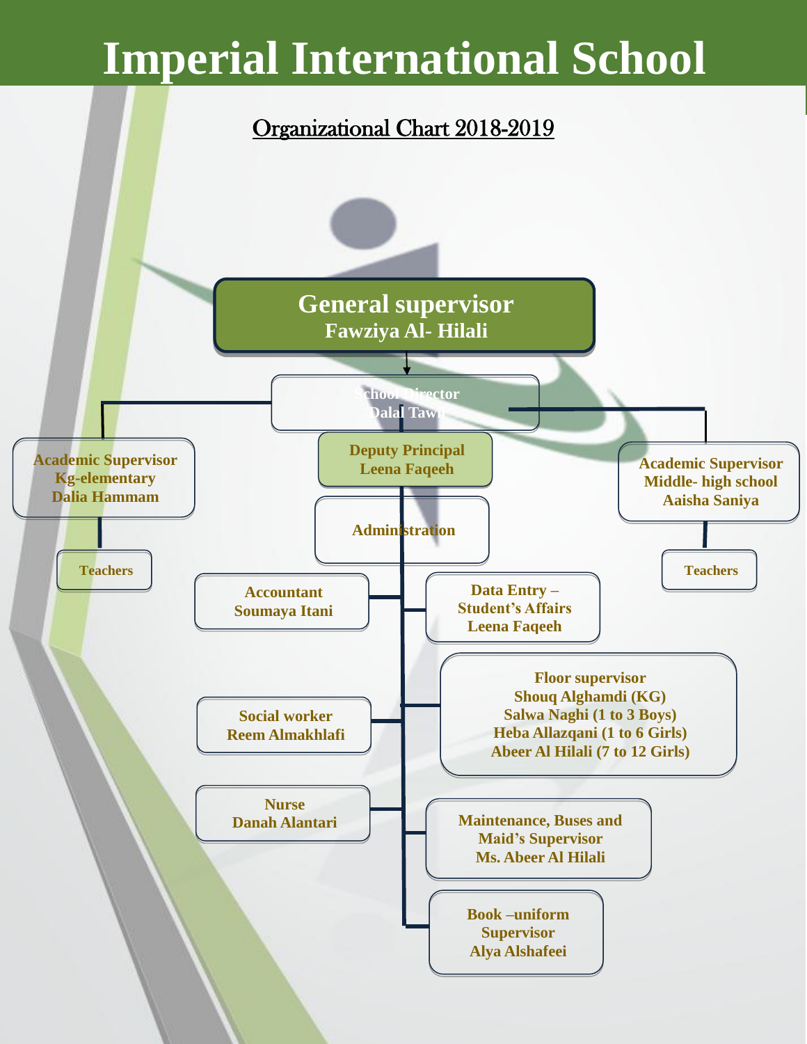### Organizational Chart 2018-2019

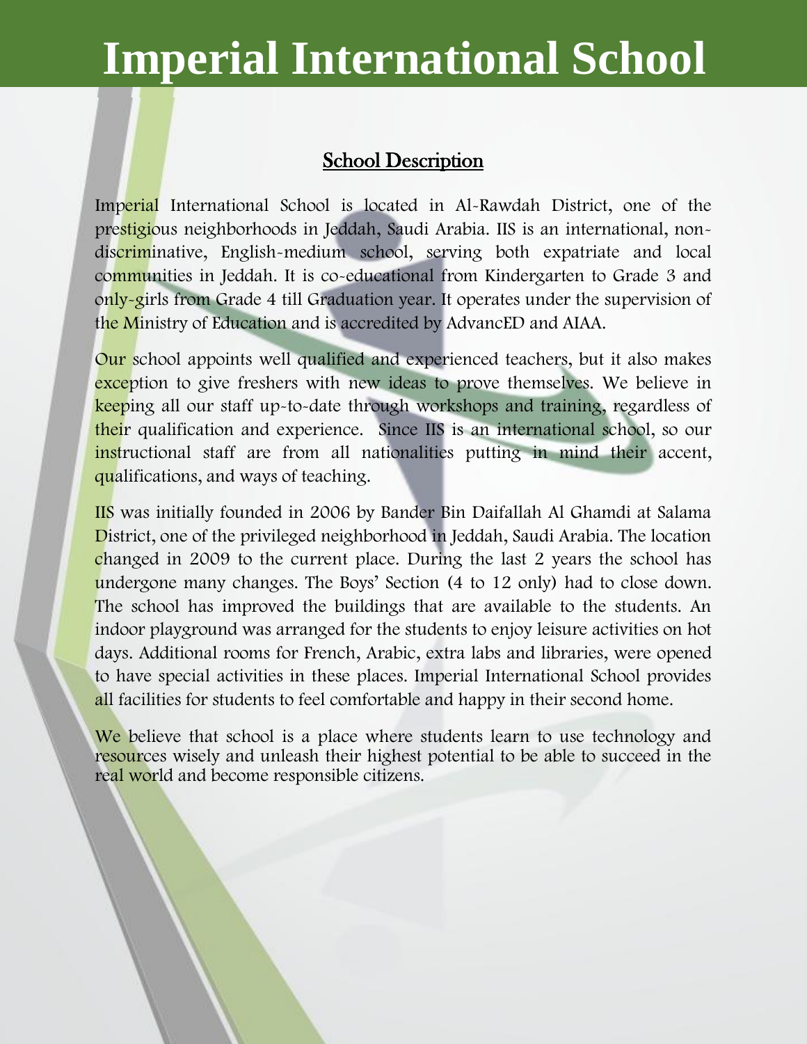#### School Description

Imperial International School is located in Al-Rawdah District, one of the prestigious neighborhoods in Jeddah, Saudi Arabia. IIS is an international, nondiscriminative, English-medium school, serving both expatriate and local communities in Jeddah. It is co-educational from Kindergarten to Grade 3 and only-girls from Grade 4 till Graduation year. It operates under the supervision of the Ministry of Education and is accredited by AdvancED and AIAA.

Our school appoints well qualified and experienced teachers, but it also makes exception to give freshers with new ideas to prove themselves. We believe in keeping all our staff up-to-date through workshops and training, regardless of their qualification and experience. Since IIS is an international school, so our instructional staff are from all nationalities putting in mind their accent, qualifications, and ways of teaching.

IIS was initially founded in 2006 by Bander Bin Daifallah Al Ghamdi at Salama District, one of the privileged neighborhood in Jeddah, Saudi Arabia. The location changed in 2009 to the current place. During the last 2 years the school has undergone many changes. The Boys' Section (4 to 12 only) had to close down. The school has improved the buildings that are available to the students. An indoor playground was arranged for the students to enjoy leisure activities on hot days. Additional rooms for French, Arabic, extra labs and libraries, were opened to have special activities in these places. Imperial International School provides all facilities for students to feel comfortable and happy in their second home.

We believe that school is a place where students learn to use technology and resources wisely and unleash their highest potential to be able to succeed in the real world and become responsible citizens.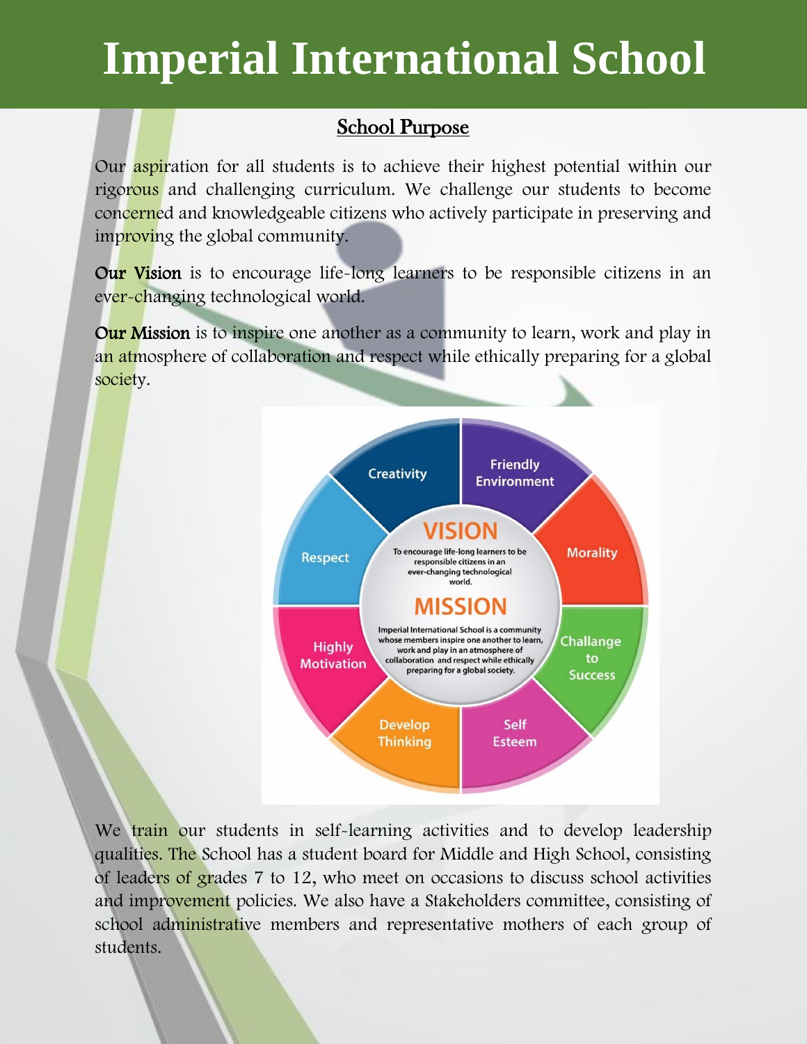### School Purpose

Our aspiration for all students is to achieve their highest potential within our rigorous and challenging curriculum. We challenge our students to become concerned and knowledgeable citizens who actively participate in preserving and improving the global community.

Our Vision is to encourage life-long learners to be responsible citizens in an ever-changing technological world.

**Our Mission** is to inspire one another as a community to learn, work and play in an atmosphere of collaboration and respect while ethically preparing for a global society.



We train our students in self-learning activities and to develop leadership qualities. The School has a student board for Middle and High School, consisting of leaders of grades 7 to 12, who meet on occasions to discuss school activities and improvement policies. We also have a Stakeholders committee, consisting of school administrative members and representative mothers of each group of students.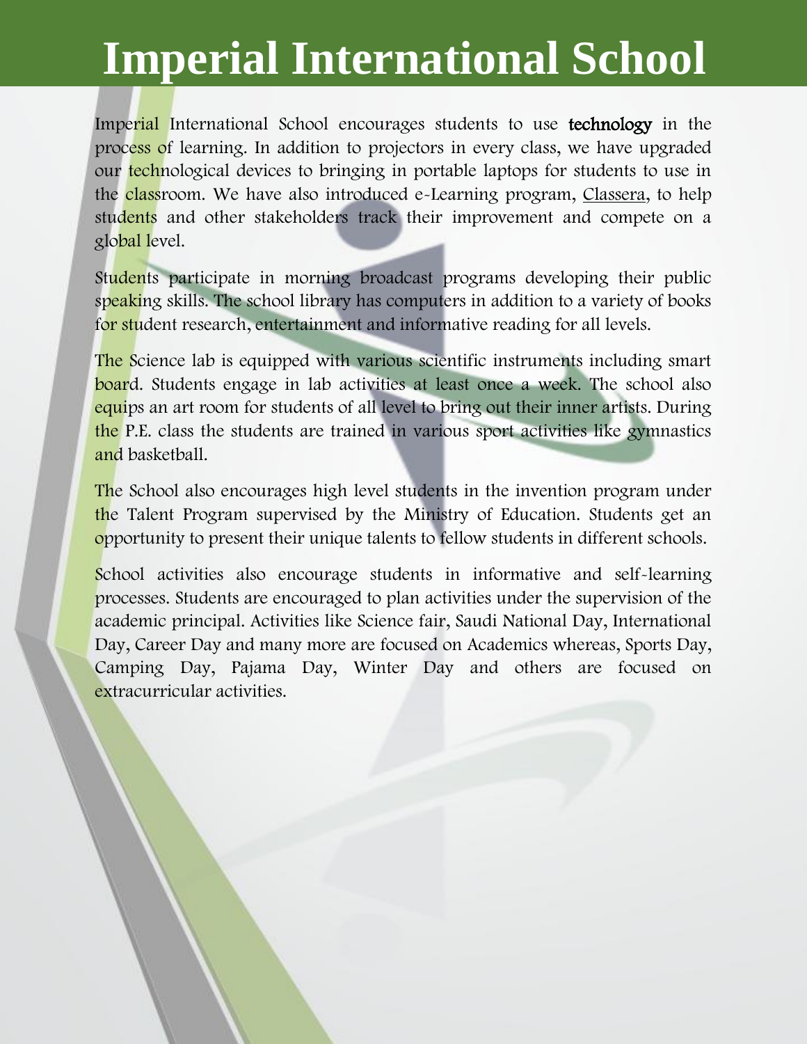Imperial International School encourages students to use technology in the process of learning. In addition to projectors in every class, we have upgraded our technological devices to bringing in portable laptops for students to use in the classroom. We have also introduced e-Learning program, Classera, to help students and other stakeholders track their improvement and compete on a global level.

Students participate in morning broadcast programs developing their public speaking skills. The school library has computers in addition to a variety of books for student research, entertainment and informative reading for all levels.

The Science lab is equipped with various scientific instruments including smart board. Students engage in lab activities at least once a week. The school also equips an art room for students of all level to bring out their inner artists. During the P.E. class the students are trained in various sport activities like gymnastics and basketball.

The School also encourages high level students in the invention program under the Talent Program supervised by the Ministry of Education. Students get an opportunity to present their unique talents to fellow students in different schools.

School activities also encourage students in informative and self-learning processes. Students are encouraged to plan activities under the supervision of the academic principal. Activities like Science fair, Saudi National Day, International Day, Career Day and many more are focused on Academics whereas, Sports Day, Camping Day, Pajama Day, Winter Day and others are focused on extracurricular activities.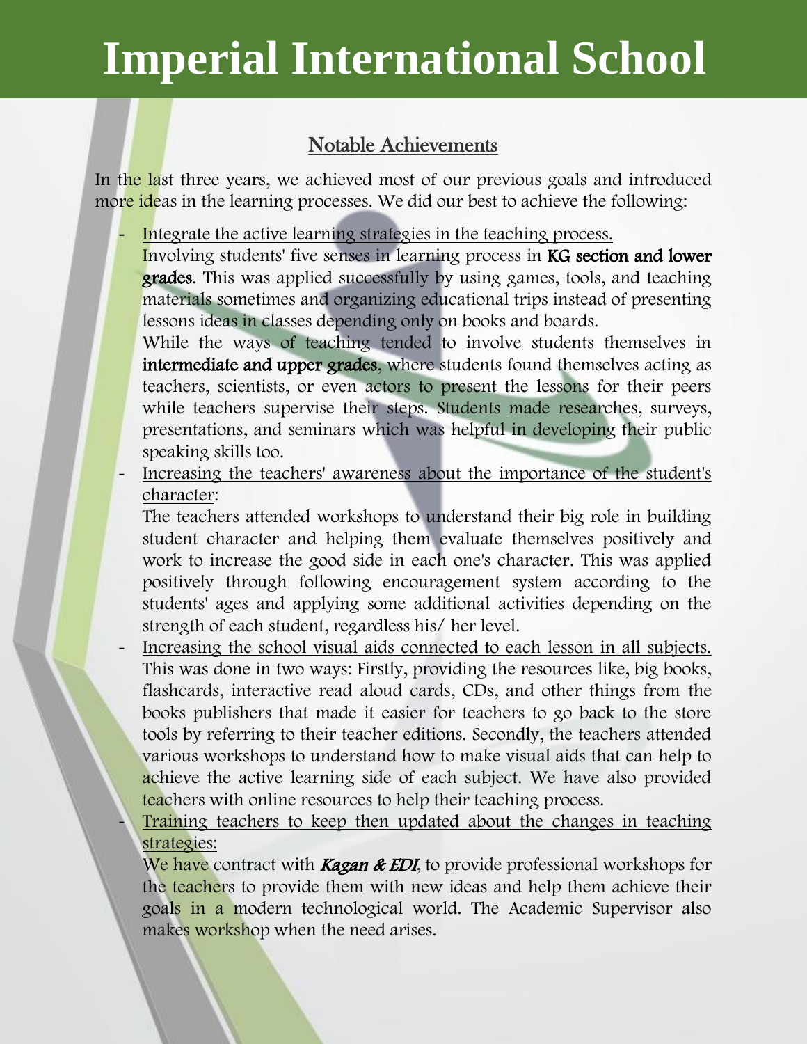#### Notable Achievements

In the last three years, we achieved most of our previous goals and introduced more ideas in the learning processes. We did our best to achieve the following:

Integrate the active learning strategies in the teaching process. Involving students' five senses in learning process in KG section and lower grades. This was applied successfully by using games, tools, and teaching materials sometimes and organizing educational trips instead of presenting lessons ideas in classes depending only on books and boards.

While the ways of teaching tended to involve students themselves in intermediate and upper grades, where students found themselves acting as teachers, scientists, or even actors to present the lessons for their peers while teachers supervise their steps. Students made researches, surveys, presentations, and seminars which was helpful in developing their public speaking skills too.

Increasing the teachers' awareness about the importance of the student's character:

The teachers attended workshops to understand their big role in building student character and helping them evaluate themselves positively and work to increase the good side in each one's character. This was applied positively through following encouragement system according to the students' ages and applying some additional activities depending on the strength of each student, regardless his/ her level.

Increasing the school visual aids connected to each lesson in all subjects. This was done in two ways: Firstly, providing the resources like, big books, flashcards, interactive read aloud cards, CDs, and other things from the books publishers that made it easier for teachers to go back to the store tools by referring to their teacher editions. Secondly, the teachers attended various workshops to understand how to make visual aids that can help to achieve the active learning side of each subject. We have also provided teachers with online resources to help their teaching process.

Training teachers to keep then updated about the changes in teaching strategies:

We have contract with **Kagan & EDI**, to provide professional workshops for the teachers to provide them with new ideas and help them achieve their goals in a modern technological world. The Academic Supervisor also makes workshop when the need arises.